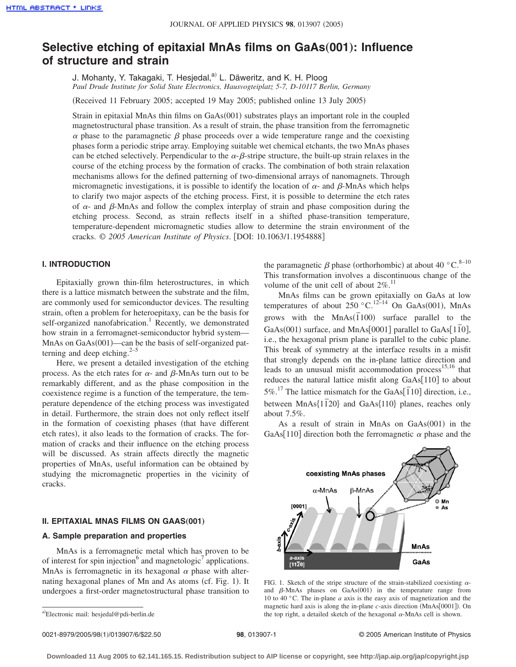# **Selective etching of epitaxial MnAs films on GaAs**"**001**…**: Influence of structure and strain**

J. Mohanty, Y. Takagaki, T. Hesiedal, a) L. Däweritz, and K. H. Ploog *Paul Drude Institute for Solid State Electronics, Hausvogteiplatz 5-7, D-10117 Berlin, Germany*

(Received 11 February 2005; accepted 19 May 2005; published online 13 July 2005)

Strain in epitaxial MnAs thin films on GaAs(001) substrates plays an important role in the coupled magnetostructural phase transition. As a result of strain, the phase transition from the ferromagnetic  $\alpha$  phase to the paramagnetic  $\beta$  phase proceeds over a wide temperature range and the coexisting phases form a periodic stripe array. Employing suitable wet chemical etchants, the two MnAs phases can be etched selectively. Perpendicular to the  $\alpha$ - $\beta$ -stripe structure, the built-up strain relaxes in the course of the etching process by the formation of cracks. The combination of both strain relaxation mechanisms allows for the defined patterning of two-dimensional arrays of nanomagnets. Through micromagnetic investigations, it is possible to identify the location of  $\alpha$ - and  $\beta$ -MnAs which helps to clarify two major aspects of the etching process. First, it is possible to determine the etch rates of  $\alpha$ - and  $\beta$ -MnAs and follow the complex interplay of strain and phase composition during the etching process. Second, as strain reflects itself in a shifted phase-transition temperature, temperature-dependent micromagnetic studies allow to determine the strain environment of the cracks. © *2005 American Institute of Physics*. DOI: 10.1063/1.1954888

# **I. INTRODUCTION**

Epitaxially grown thin-film heterostructures, in which there is a lattice mismatch between the substrate and the film, are commonly used for semiconductor devices. The resulting strain, often a problem for heteroepitaxy, can be the basis for self-organized nanofabrication.<sup>1</sup> Recently, we demonstrated how strain in a ferromagnet-semiconductor hybrid system— MnAs on GaAs(001)—can be the basis of self-organized patterning and deep etching. $2-5$ 

Here, we present a detailed investigation of the etching process. As the etch rates for  $\alpha$ - and  $\beta$ -MnAs turn out to be remarkably different, and as the phase composition in the coexistence regime is a function of the temperature, the temperature dependence of the etching process was investigated in detail. Furthermore, the strain does not only reflect itself in the formation of coexisting phases (that have different etch rates), it also leads to the formation of cracks. The formation of cracks and their influence on the etching process will be discussed. As strain affects directly the magnetic properties of MnAs, useful information can be obtained by studying the micromagnetic properties in the vicinity of cracks.

#### **II. EPITAXIAL MNAS FILMS ON GAAS(001)**

### **A. Sample preparation and properties**

MnAs is a ferromagnetic metal which has proven to be of interest for spin injection $6$  and magnetologic<sup>7</sup> applications. MnAs is ferromagnetic in its hexagonal  $\alpha$  phase with alternating hexagonal planes of Mn and As atoms (cf. Fig. 1). It undergoes a first-order magnetostructural phase transition to

the paramagnetic  $\beta$  phase (orthorhombic) at about 40 °C.<sup>8–10</sup> This transformation involves a discontinuous change of the volume of the unit cell of about  $2\%$ .<sup>11</sup>

MnAs films can be grown epitaxially on GaAs at low temperatures of about  $250 \degree \text{C}$ .<sup>12-14</sup> On GaAs(001), MnAs grows with the  $MnAs(\overline{1}100)$  surface parallel to the GaAs(001) surface, and MnAs[0001] parallel to GaAs[1 $\overline{10}$ ], i.e., the hexagonal prism plane is parallel to the cubic plane. This break of symmetry at the interface results in a misfit that strongly depends on the in-plane lattice direction and leads to an unusual misfit accommodation process<sup>15,16</sup> that reduces the natural lattice misfit along  $GaAs[110]$  to about 5%.<sup>17</sup> The lattice mismatch for the GaAs $\overline{[110]}$  direction, i.e., between MnAs<sup>{11}</sup><sub>20</sub>} and GaAs<sup>{110}</sup> planes, reaches only about 7.5%.

As a result of strain in MnAs on GaAs(001) in the GaAs[110] direction both the ferromagnetic  $\alpha$  phase and the



FIG. 1. Sketch of the stripe structure of the strain-stabilized coexisting  $\alpha$ and  $\beta$ -MnAs phases on GaAs(001) in the temperature range from 10 to 40 °C. The in-plane *a* axis is the easy axis of magnetization and the magnetic hard axis is along the in-plane *c*-axis direction (MnAs[0001]). On the top right, a detailed sketch of the hexagonal  $\alpha$ -MnAs cell is shown.

a)Electronic mail: hesjedal@pdi-berlin.de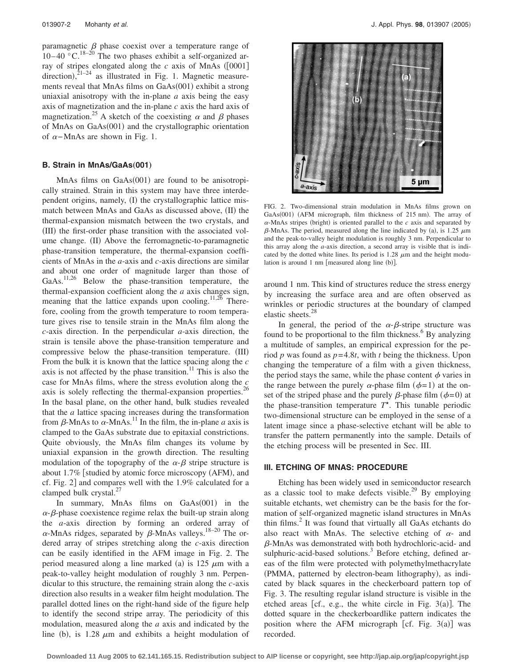paramagnetic  $\beta$  phase coexist over a temperature range of  $10-40$  °C.<sup>18–20</sup> The two phases exhibit a self-organized array of stripes elongated along the  $c$  axis of MnAs ( $[0001]$ direction), $2^{1-24}$  as illustrated in Fig. 1. Magnetic measurements reveal that MnAs films on GaAs(001) exhibit a strong uniaxial anisotropy with the in-plane *a* axis being the easy axis of magnetization and the in-plane *c* axis the hard axis of magnetization.<sup>25</sup> A sketch of the coexisting  $\alpha$  and  $\beta$  phases of MnAs on GaAs(001) and the crystallographic orientation of  $\alpha$ –MnAs are shown in Fig. 1.

#### **B. Strain in MnAs/GaAs(001)**

MnAs films on GaAs(001) are found to be anisotropically strained. Strain in this system may have three interdependent origins, namely, (I) the crystallographic lattice mismatch between MnAs and GaAs as discussed above, (II) the thermal-expansion mismatch between the two crystals, and (III) the first-order phase transition with the associated volume change. (II) Above the ferromagnetic-to-paramagnetic phase-transition temperature, the thermal-expansion coefficients of MnAs in the *a*-axis and *c*-axis directions are similar and about one order of magnitude larger than those of GaAs. $^{11,26}$  Below the phase-transition temperature, the thermal-expansion coefficient along the *a* axis changes sign, meaning that the lattice expands upon cooling.<sup>11,26</sup> Therefore, cooling from the growth temperature to room temperature gives rise to tensile strain in the MnAs film along the *c*-axis direction. In the perpendicular *a*-axis direction, the strain is tensile above the phase-transition temperature and compressive below the phase-transition temperature. (III) From the bulk it is known that the lattice spacing along the *c* axis is not affected by the phase transition. $11$  This is also the case for MnAs films, where the stress evolution along the *c* axis is solely reflecting the thermal-expansion properties.<sup>26</sup> In the basal plane, on the other hand, bulk studies revealed that the *a* lattice spacing increases during the transformation from  $\beta$ -MnAs to  $\alpha$ -MnAs.<sup>11</sup> In the film, the in-plane *a* axis is clamped to the GaAs substrate due to epitaxial constrictions. Quite obviously, the MnAs film changes its volume by uniaxial expansion in the growth direction. The resulting modulation of the topography of the  $\alpha$ - $\beta$  stripe structure is about 1.7% [studied by atomic force microscopy (AFM), and cf. Fig. 2] and compares well with the  $1.9\%$  calculated for a clamped bulk crystal.<sup>27</sup>

In summary, MnAs films on GaAs(001) in the  $\alpha$ - $\beta$ -phase coexistence regime relax the built-up strain along the *a*-axis direction by forming an ordered array of  $\alpha$ -MnAs ridges, separated by  $\beta$ -MnAs valleys.<sup>18–20</sup> The ordered array of stripes stretching along the *c*-axis direction can be easily identified in the AFM image in Fig. 2. The period measured along a line marked (a) is  $125 \mu m$  with a peak-to-valley height modulation of roughly 3 nm. Perpendicular to this structure, the remaining strain along the *c*-axis direction also results in a weaker film height modulation. The parallel dotted lines on the right-hand side of the figure help to identify the second stripe array. The periodicity of this modulation, measured along the *a* axis and indicated by the line (b), is 1.28  $\mu$ m and exhibits a height modulation of



FIG. 2. Two-dimensional strain modulation in MnAs films grown on GaAs(001) (AFM micrograph, film thickness of 215 nm). The array of  $\alpha$ -MnAs stripes (bright) is oriented parallel to the  $c$  axis and separated by  $\beta$ -MnAs. The period, measured along the line indicated by (a), is 1.25  $\mu$ m and the peak-to-valley height modulation is roughly 3 nm. Perpendicular to this array along the *a*-axis direction, a second array is visible that is indicated by the dotted white lines. Its period is 1.28  $\mu$ m and the height modulation is around 1 nm [measured along line (b)].

around 1 nm. This kind of structures reduce the stress energy by increasing the surface area and are often observed as wrinkles or periodic structures at the boundary of clamped elastic sheets.<sup>28</sup>

In general, the period of the  $\alpha$ - $\beta$ -stripe structure was found to be proportional to the film thickness.<sup>6</sup> By analyzing a multitude of samples, an empirical expression for the period *p* was found as *p*= 4.8*t*, with *t* being the thickness. Upon changing the temperature of a film with a given thickness, the period stays the same, while the phase content  $\phi$  varies in the range between the purely  $\alpha$ -phase film  $(\phi = 1)$  at the onset of the striped phase and the purely  $\beta$ -phase film  $(\phi=0)$  at the phase-transition temperature  $T^*$ . This tunable periodic two-dimensional structure can be employed in the sense of a latent image since a phase-selective etchant will be able to transfer the pattern permanently into the sample. Details of the etching process will be presented in Sec. III.

#### **III. ETCHING OF MNAS: PROCEDURE**

Etching has been widely used in semiconductor research as a classic tool to make defects visible.<sup>29</sup> By employing suitable etchants, wet chemistry can be the basis for the formation of self-organized magnetic island structures in MnAs thin films.2 It was found that virtually all GaAs etchants do also react with MnAs. The selective etching of  $\alpha$ - and --MnAs was demonstrated with both hydrochloric-acid- and sulphuric-acid-based solutions.<sup>3</sup> Before etching, defined areas of the film were protected with polymethylmethacrylate (PMMA, patterned by electron-beam lithography), as indicated by black squares in the checkerboard pattern top of Fig. 3. The resulting regular island structure is visible in the etched areas [cf., e.g., the white circle in Fig.  $3(a)$ ]. The dotted square in the checkerboardlike pattern indicates the position where the AFM micrograph [cf. Fig.  $3(a)$ ] was recorded.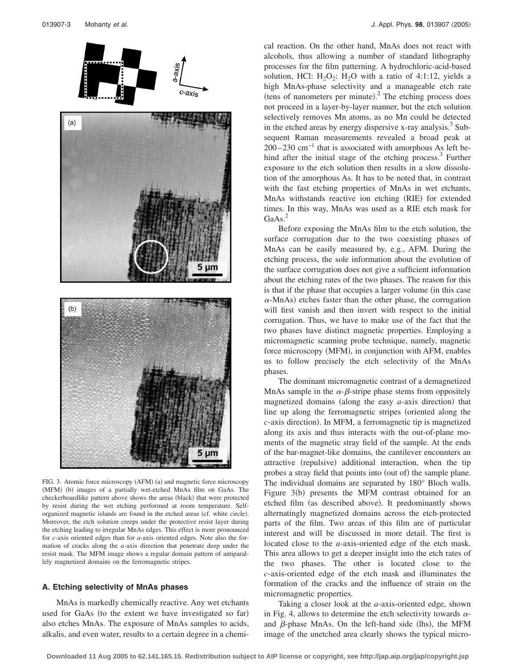

FIG. 3. Atomic force microscopy (AFM) (a) and magnetic force microscopy (MFM) (b) images of a partially wet-etched MnAs film on GaAs. The checkerboardlike pattern above shows the areas (black) that were protected by resist during the wet etching performed at room temperature. Selforganized magnetic islands are found in the etched areas (cf. white circle). Moreover, the etch solution creeps under the protective resist layer during the etching leading to irregular MnAs edges. This effect is more pronounced for *c*-axis oriented edges than for *a*-axis oriented edges. Note also the formation of cracks along the *a*-axis direction that penetrate deep under the resist mask. The MFM image shows a regular domain pattern of antiparallely magnetized domains on the ferromagnetic stripes.

# **A. Etching selectivity of MnAs phases**

MnAs is markedly chemically reactive. Any wet etchants used for GaAs (to the extent we have investigated so far) also etches MnAs. The exposure of MnAs samples to acids, alkalis, and even water, results to a certain degree in a chemical reaction. On the other hand, MnAs does not react with alcohols, thus allowing a number of standard lithography processes for the film patterning. A hydrochloric-acid-based solution, HCl:  $H_2O_2$ :  $H_2O$  with a ratio of 4:1:12, yields a high MnAs-phase selectivity and a manageable etch rate (tens of nanometers per minute). $^{2}$  The etching process does not proceed in a layer-by-layer manner, but the etch solution selectively removes Mn atoms, as no Mn could be detected in the etched areas by energy dispersive x-ray analysis.<sup>3</sup> Subsequent Raman measurements revealed a broad peak at  $200-230$  cm<sup>-1</sup> that is associated with amorphous As left behind after the initial stage of the etching process. $3$  Further exposure to the etch solution then results in a slow dissolution of the amorphous As. It has to be noted that, in contrast with the fast etching properties of MnAs in wet etchants, MnAs withstands reactive ion etching (RIE) for extended times. In this way, MnAs was used as a RIE etch mask for GaAs.<sup>2</sup>

Before exposing the MnAs film to the etch solution, the surface corrugation due to the two coexisting phases of MnAs can be easily measured by, e.g., AFM. During the etching process, the sole information about the evolution of the surface corrugation does not give a sufficient information about the etching rates of the two phases. The reason for this is that if the phase that occupies a larger volume (in this case  $\alpha$ -MnAs) etches faster than the other phase, the corrugation will first vanish and then invert with respect to the initial corrugation. Thus, we have to make use of the fact that the two phases have distinct magnetic properties. Employing a micromagnetic scanning probe technique, namely, magnetic force microscopy (MFM), in conjunction with AFM, enables us to follow precisely the etch selectivity of the MnAs phases.

The dominant micromagnetic contrast of a demagnetized MnAs sample in the  $\alpha$ - $\beta$ -stripe phase stems from oppositely magnetized domains (along the easy  $a$ -axis direction) that line up along the ferromagnetic stripes (oriented along the c-axis direction). In MFM, a ferromagnetic tip is magnetized along its axis and thus interacts with the out-of-plane moments of the magnetic stray field of the sample. At the ends of the bar-magnet-like domains, the cantilever encounters an attractive (repulsive) additional interaction, when the tip probes a stray field that points into (out of) the sample plane. The individual domains are separated by 180° Bloch walls. Figure  $3(b)$  presents the MFM contrast obtained for an etched film (as described above). It predominantly shows alternatingly magnetized domains across the etch-protected parts of the film. Two areas of this film are of particular interest and will be discussed in more detail. The first is located close to the *a*-axis-oriented edge of the etch mask. This area allows to get a deeper insight into the etch rates of the two phases. The other is located close to the *c*-axis-oriented edge of the etch mask and illuminates the formation of the cracks and the influence of strain on the micromagnetic properties.

Taking a closer look at the *a*-axis-oriented edge, shown in Fig. 4, allows to determine the etch selectivity towards  $\alpha$ and  $\beta$ -phase MnAs. On the left-hand side (lhs), the MFM image of the unetched area clearly shows the typical micro-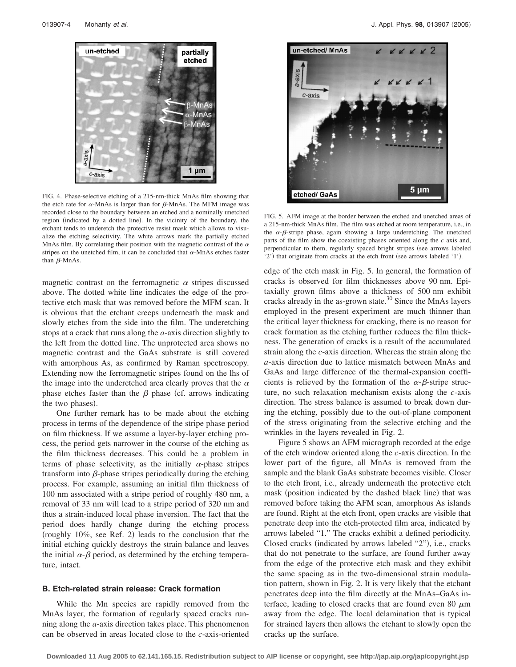

FIG. 4. Phase-selective etching of a 215-nm-thick MnAs film showing that the etch rate for  $\alpha$ -MnAs is larger than for  $\beta$ -MnAs. The MFM image was recorded close to the boundary between an etched and a nominally unetched region (indicated by a dotted line). In the vicinity of the boundary, the etchant tends to underetch the protective resist mask which allows to visualize the etching selectivity. The white arrows mark the partially etched MnAs film. By correlating their position with the magnetic contrast of the  $\alpha$ stripes on the unetched film, it can be concluded that  $\alpha$ -MnAs etches faster than  $\beta$ -MnAs.

magnetic contrast on the ferromagnetic  $\alpha$  stripes discussed above. The dotted white line indicates the edge of the protective etch mask that was removed before the MFM scan. It is obvious that the etchant creeps underneath the mask and slowly etches from the side into the film. The underetching stops at a crack that runs along the *a*-axis direction slightly to the left from the dotted line. The unprotected area shows no magnetic contrast and the GaAs substrate is still covered with amorphous As, as confirmed by Raman spectroscopy. Extending now the ferromagnetic stripes found on the lhs of the image into the underetched area clearly proves that the  $\alpha$ phase etches faster than the  $\beta$  phase (cf. arrows indicating the two phases).

One further remark has to be made about the etching process in terms of the dependence of the stripe phase period on film thickness. If we assume a layer-by-layer etching process, the period gets narrower in the course of the etching as the film thickness decreases. This could be a problem in terms of phase selectivity, as the initially  $\alpha$ -phase stripes transform into  $\beta$ -phase stripes periodically during the etching process. For example, assuming an initial film thickness of 100 nm associated with a stripe period of roughly 480 nm, a removal of 33 nm will lead to a stripe period of 320 nm and thus a strain-induced local phase inversion. The fact that the period does hardly change during the etching process (roughly 10%, see Ref. 2) leads to the conclusion that the initial etching quickly destroys the strain balance and leaves the initial  $\alpha$ - $\beta$  period, as determined by the etching temperature, intact.

# **B. Etch-related strain release: Crack formation**

While the Mn species are rapidly removed from the MnAs layer, the formation of regularly spaced cracks running along the *a*-axis direction takes place. This phenomenon can be observed in areas located close to the *c*-axis-oriented



FIG. 5. AFM image at the border between the etched and unetched areas of a 215-nm-thick MnAs film. The film was etched at room temperature, i.e., in the  $\alpha$ - $\beta$ -stripe phase, again showing a large underetching. The unetched parts of the film show the coexisting phases oriented along the *c* axis and, perpendicular to them, regularly spaced bright stripes (see arrows labeled '2') that originate from cracks at the etch front (see arrows labeled '1').

edge of the etch mask in Fig. 5. In general, the formation of cracks is observed for film thicknesses above 90 nm. Epitaxially grown films above a thickness of 500 nm exhibit cracks already in the as-grown state.<sup>30</sup> Since the MnAs layers employed in the present experiment are much thinner than the critical layer thickness for cracking, there is no reason for crack formation as the etching further reduces the film thickness. The generation of cracks is a result of the accumulated strain along the *c*-axis direction. Whereas the strain along the *a*-axis direction due to lattice mismatch between MnAs and GaAs and large difference of the thermal-expansion coefficients is relieved by the formation of the  $\alpha$ - $\beta$ -stripe structure, no such relaxation mechanism exists along the *c*-axis direction. The stress balance is assumed to break down during the etching, possibly due to the out-of-plane component of the stress originating from the selective etching and the wrinkles in the layers revealed in Fig. 2.

Figure 5 shows an AFM micrograph recorded at the edge of the etch window oriented along the *c*-axis direction. In the lower part of the figure, all MnAs is removed from the sample and the blank GaAs substrate becomes visible. Closer to the etch front, i.e., already underneath the protective etch mask (position indicated by the dashed black line) that was removed before taking the AFM scan, amorphous As islands are found. Right at the etch front, open cracks are visible that penetrate deep into the etch-protected film area, indicated by arrows labeled "1." The cracks exhibit a defined periodicity. Closed cracks (indicated by arrows labeled "2"), i.e., cracks that do not penetrate to the surface, are found further away from the edge of the protective etch mask and they exhibit the same spacing as in the two-dimensional strain modulation pattern, shown in Fig. 2. It is very likely that the etchant penetrates deep into the film directly at the MnAs–GaAs interface, leading to closed cracks that are found even 80  $\mu$ m away from the edge. The local delamination that is typical for strained layers then allows the etchant to slowly open the cracks up the surface.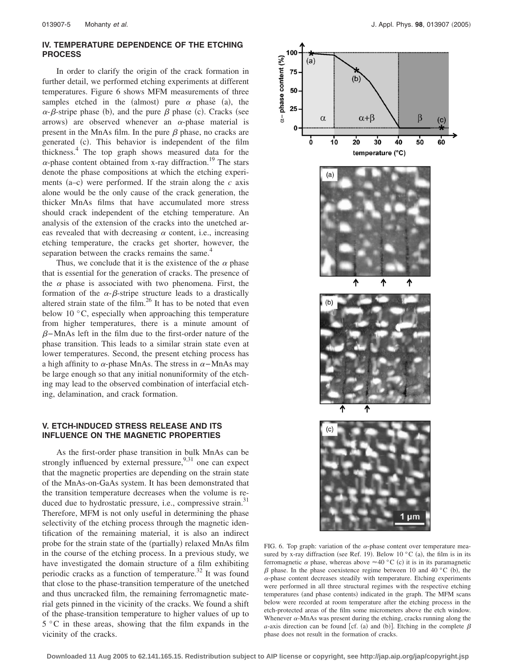# **IV. TEMPERATURE DEPENDENCE OF THE ETCHING PROCESS**

In order to clarify the origin of the crack formation in further detail, we performed etching experiments at different temperatures. Figure 6 shows MFM measurements of three samples etched in the (almost) pure  $\alpha$  phase (a), the  $\alpha$ - $\beta$ -stripe phase (b), and the pure  $\beta$  phase (c). Cracks (see arrows) are observed whenever an  $\alpha$ -phase material is present in the MnAs film. In the pure  $\beta$  phase, no cracks are generated (c). This behavior is independent of the film thickness.4 The top graph shows measured data for the  $\alpha$ -phase content obtained from x-ray diffraction.<sup>19</sup> The stars denote the phase compositions at which the etching experiments  $(a-c)$  were performed. If the strain along the  $c$  axis alone would be the only cause of the crack generation, the thicker MnAs films that have accumulated more stress should crack independent of the etching temperature. An analysis of the extension of the cracks into the unetched areas revealed that with decreasing  $\alpha$  content, i.e., increasing etching temperature, the cracks get shorter, however, the separation between the cracks remains the same.<sup>4</sup>

Thus, we conclude that it is the existence of the  $\alpha$  phase that is essential for the generation of cracks. The presence of the  $\alpha$  phase is associated with two phenomena. First, the formation of the  $\alpha$ - $\beta$ -stripe structure leads to a drastically altered strain state of the film. $^{26}$  It has to be noted that even below 10 °C, especially when approaching this temperature from higher temperatures, there is a minute amount of  $\beta$ –MnAs left in the film due to the first-order nature of the phase transition. This leads to a similar strain state even at lower temperatures. Second, the present etching process has a high affinity to  $\alpha$ -phase MnAs. The stress in  $\alpha$ -MnAs may be large enough so that any initial nonuniformity of the etching may lead to the observed combination of interfacial etching, delamination, and crack formation.

# **V. ETCH-INDUCED STRESS RELEASE AND ITS INFLUENCE ON THE MAGNETIC PROPERTIES**

As the first-order phase transition in bulk MnAs can be strongly influenced by external pressure,  $9,31$  one can expect that the magnetic properties are depending on the strain state of the MnAs-on-GaAs system. It has been demonstrated that the transition temperature decreases when the volume is reduced due to hydrostatic pressure, i.e., compressive strain.<sup>31</sup> Therefore, MFM is not only useful in determining the phase selectivity of the etching process through the magnetic identification of the remaining material, it is also an indirect probe for the strain state of the (partially) relaxed MnAs film in the course of the etching process. In a previous study, we have investigated the domain structure of a film exhibiting periodic cracks as a function of temperature.<sup>32</sup> It was found that close to the phase-transition temperature of the unetched and thus uncracked film, the remaining ferromagnetic material gets pinned in the vicinity of the cracks. We found a shift of the phase-transition temperature to higher values of up to 5 °C in these areas, showing that the film expands in the vicinity of the cracks.



FIG. 6. Top graph: variation of the  $\alpha$ -phase content over temperature measured by x-ray diffraction (see Ref. 19). Below 10 °C (a), the film is in its ferromagnetic  $\alpha$  phase, whereas above  $\approx$  40 °C (c) it is in its paramagnetic  $\beta$  phase. In the phase coexistence regime between 10 and 40 °C (b), the  $\alpha$ -phase content decreases steadily with temperature. Etching experiments were performed in all three structural regimes with the respective etching temperatures (and phase contents) indicated in the graph. The MFM scans below were recorded at room temperature after the etching process in the etch-protected areas of the film some micrometers above the etch window. Whenever  $\alpha$ -MnAs was present during the etching, cracks running along the *a*-axis direction can be found [cf. (a) and (b)]. Etching in the complete  $\beta$ phase does not result in the formation of cracks.